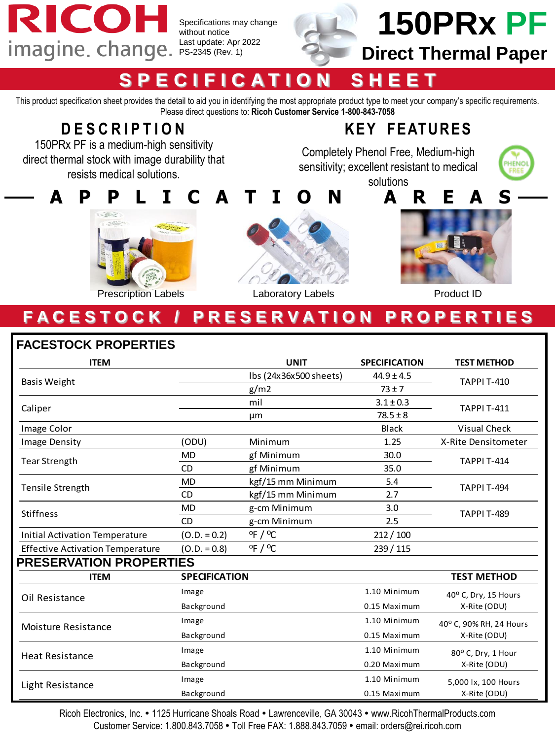

Specifications may change without notice Last update: Apr 2022



# **150PRx PF**

## **Direct Thermal Paper**

## **S P E C I F I C A T I O N S H E E T**

This product specification sheet provides the detail to aid you in identifying the most appropriate product type to meet your company's specific requirements. Please direct questions to: **Ricoh Customer Service 1-800-843-7058**

## **D E S C R I P T I O N**

150PRx PF is a medium-high sensitivity direct thermal stock with image durability that resists medical solutions.

## **KEY FEATURES**

Completely Phenol Free, Medium-high sensitivity; excellent resistant to medical solutions





Prescription Labels



Laboratory Labels **Product ID** 

## **F A C E S T O C K / P R E S E R V A T I O N P R O P E R T I E S**

#### **FACESTOCK PROPERTIES**

| <b>ITEM</b>                             |                      | <b>UNIT</b>                 | <b>SPECIFICATION</b> | <b>TEST METHOD</b>                      |  |
|-----------------------------------------|----------------------|-----------------------------|----------------------|-----------------------------------------|--|
| <b>Basis Weight</b>                     |                      | Ibs (24x36x500 sheets)      | $44.9 \pm 4.5$       | <b>TAPPI T-410</b>                      |  |
|                                         |                      | g/m2                        | $73 \pm 7$           |                                         |  |
| Caliper                                 |                      | mil                         | $3.1 \pm 0.3$        | <b>TAPPI T-411</b>                      |  |
|                                         |                      | μm                          | $78.5 \pm 8$         |                                         |  |
| Image Color                             |                      |                             | <b>Black</b>         | <b>Visual Check</b>                     |  |
| Image Density                           | (ODU)                | Minimum                     | 1.25                 | X-Rite Densitometer                     |  |
| <b>Tear Strength</b>                    | <b>MD</b>            | gf Minimum                  | 30.0                 | <b>TAPPI T-414</b>                      |  |
|                                         | <b>CD</b>            | gf Minimum                  | 35.0                 |                                         |  |
|                                         | <b>MD</b>            | kgf/15 mm Minimum           | 5.4                  | <b>TAPPI T-494</b>                      |  |
| <b>Tensile Strength</b>                 | <b>CD</b>            | kgf/15 mm Minimum           | 2.7                  |                                         |  |
| <b>Stiffness</b>                        | <b>MD</b>            | g-cm Minimum                | 3.0                  | <b>TAPPI T-489</b>                      |  |
|                                         | <b>CD</b>            | g-cm Minimum                | 2.5                  |                                         |  |
| <b>Initial Activation Temperature</b>   | $(O.D. = 0.2)$       | $^{\circ}$ F / $^{\circ}$ C | 212/100              |                                         |  |
| <b>Effective Activation Temperature</b> | $(O.D. = 0.8)$       | $^{\circ}$ F / $^{\circ}$ C | 239 / 115            |                                         |  |
| <b>PRESERVATION PROPERTIES</b>          |                      |                             |                      |                                         |  |
| <b>ITEM</b>                             | <b>SPECIFICATION</b> |                             |                      | <b>TEST METHOD</b>                      |  |
| Oil Resistance                          | Image                |                             | 1.10 Minimum         | 40° C, Dry, 15 Hours<br>X-Rite (ODU)    |  |
|                                         | Background           |                             | 0.15 Maximum         |                                         |  |
| Moisture Resistance                     | Image                |                             | 1.10 Minimum         | 40° C, 90% RH, 24 Hours<br>X-Rite (ODU) |  |
|                                         | Background           |                             | 0.15 Maximum         |                                         |  |
| <b>Heat Resistance</b>                  | Image                |                             | 1.10 Minimum         | 80° C, Dry, 1 Hour                      |  |
|                                         | Background           |                             | 0.20 Maximum         | X-Rite (ODU)                            |  |
| Light Resistance                        | Image                |                             | 1.10 Minimum         | 5,000 lx, 100 Hours                     |  |
|                                         | Background           |                             | 0.15 Maximum         | X-Rite (ODU)                            |  |

Ricoh Electronics, Inc. • 1125 Hurricane Shoals Road • Lawrenceville, GA 30043 • www.RicohThermalProducts.com Customer Service: 1.800.843.7058 Toll Free FAX: 1.888.843.7059 email: orders@rei.ricoh.com